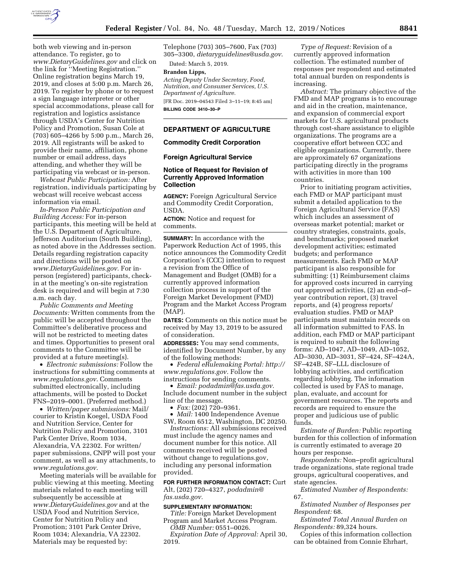

both web viewing and in-person attendance. To register, go to *[www.DietaryGuidelines.gov](http://www.DietaryGuidelines.gov)* and click on the link for ''Meeting Registration.'' Online registration begins March 19, 2019, and closes at 5:00 p.m. March 26, 2019. To register by phone or to request a sign language interpreter or other special accommodations, please call for registration and logistics assistance through USDA's Center for Nutrition Policy and Promotion, Susan Cole at (703) 605–4266 by 5:00 p.m., March 26, 2019. All registrants will be asked to provide their name, affiliation, phone number or email address, days attending, and whether they will be participating via webcast or in-person.

*Webcast Public Participation:* After registration, individuals participating by webcast will receive webcast access information via email.

*In-Person Public Participation and Building Access:* For in-person participants, this meeting will be held at the U.S. Department of Agriculture, Jefferson Auditorium (South Building), as noted above in the Addresses section. Details regarding registration capacity and directions will be posted on *[www.DietaryGuidelines.gov.](http://www.DietaryGuidelines.gov)* For inperson (registered) participants, checkin at the meeting's on-site registration desk is required and will begin at 7:30 a.m. each day.

*Public Comments and Meeting Documents:* Written comments from the public will be accepted throughout the Committee's deliberative process and will not be restricted to meeting dates and times. Opportunities to present oral comments to the Committee will be provided at a future meeting(s).

• *Electronic submissions:* Follow the instructions for submitting comments at *[www.regulations.gov](http://www.regulations.gov)*. Comments submitted electronically, including attachments, will be posted to Docket FNS–2019–0001. (Preferred method.)

• *Written/paper submissions:* Mail/ courier to Kristin Koegel, USDA Food and Nutrition Service, Center for Nutrition Policy and Promotion, 3101 Park Center Drive, Room 1034, Alexandria, VA 22302. For written/ paper submissions, CNPP will post your comment, as well as any attachments, to *[www.regulations.gov](http://www.regulations.gov)*.

Meeting materials will be available for public viewing at this meeting. Meeting materials related to each meeting will subsequently be accessible at *[www.DietaryGuidelines.gov](http://www.DietaryGuidelines.gov)* and at the USDA Food and Nutrition Service, Center for Nutrition Policy and Promotion; 3101 Park Center Drive, Room 1034; Alexandria, VA 22302. Materials may be requested by:

Telephone (703) 305–7600, Fax (703) 305–3300, *[dietaryguidelines@usda.gov](mailto:dietaryguidelines@usda.gov)*.

Dated: March 5, 2019.

# **Brandon Lipps,**

*Acting Deputy Under Secretary, Food, Nutrition, and Consumer Services, U.S. Department of Agriculture.*  [FR Doc. 2019–04543 Filed 3–11–19; 8:45 am] **BILLING CODE 3410–30–P** 

#### **DEPARTMENT OF AGRICULTURE**

### **Commodity Credit Corporation**

#### **Foreign Agricultural Service**

## **Notice of Request for Revision of Currently Approved Information Collection**

**AGENCY:** Foreign Agricultural Service and Commodity Credit Corporation, USDA.

**ACTION:** Notice and request for comments.

**SUMMARY:** In accordance with the Paperwork Reduction Act of 1995, this notice announces the Commodity Credit Corporation's (CCC) intention to request a revision from the Office of Management and Budget (OMB) for a currently approved information collection process in support of the Foreign Market Development (FMD) Program and the Market Access Program (MAP).

**DATES:** Comments on this notice must be received by May 13, 2019 to be assured of consideration.

**ADDRESSES:** You may send comments, identified by Document Number, by any of the following methods:

• *Federal eRulemaking Portal: [http://](http://www.regulations.gov)  [www.regulations.gov.](http://www.regulations.gov)* Follow the instructions for sending comments.

• *Email: [podadmin@fas.usda.gov.](mailto:podadmin@fas.usda.gov)*  Include document number in the subject line of the message.

 $\bullet$  *Fax:* (202) 720–9361.

• *Mail:* 1400 Independence Avenue SW, Room 6512, Washington, DC 20250.

*Instructions:* All submissions received must include the agency names and document number for this notice. All comments received will be posted without change to regulations.gov, including any personal information provided.

**FOR FURTHER INFORMATION CONTACT:** Curt Alt, (202) 720–4327, *[podadmin@](mailto:podadmin@fas.usda.gov) [fas.usda.gov.](mailto:podadmin@fas.usda.gov)* 

#### **SUPPLEMENTARY INFORMATION:**

*Title:* Foreign Market Development Program and Market Access Program.

*OMB Number:* 0551–0026. *Expiration Date of Approval:* April 30, 2019.

*Type of Request:* Revision of a currently approved information collection. The estimated number of responses per respondent and estimated total annual burden on respondents is increasing.

*Abstract:* The primary objective of the FMD and MAP programs is to encourage and aid in the creation, maintenance, and expansion of commercial export markets for U.S. agricultural products through cost-share assistance to eligible organizations. The programs are a cooperative effort between CCC and eligible organizations. Currently, there are approximately 67 organizations participating directly in the programs with activities in more than 100 countries.

Prior to initiating program activities, each FMD or MAP participant must submit a detailed application to the Foreign Agricultural Service (FAS) which includes an assessment of overseas market potential; market or country strategies, constraints, goals, and benchmarks; proposed market development activities; estimated budgets; and performance measurements. Each FMD or MAP participant is also responsible for submitting: (1) Reimbursement claims for approved costs incurred in carrying out approved activities, (2) an end–of– year contribution report, (3) travel reports, and (4) progress reports/ evaluation studies. FMD or MAP participants must maintain records on all information submitted to FAS. In addition, each FMD or MAP participant is required to submit the following forms: AD–1047, AD–1049, AD–1052, AD–3030, AD–3031, SF–424, SF–424A, SF–424B, SF–LLL disclosure of lobbying activities, and certification regarding lobbying. The information collected is used by FAS to manage, plan, evaluate, and account for government resources. The reports and records are required to ensure the proper and judicious use of public funds.

*Estimate of Burden:* Public reporting burden for this collection of information is currently estimated to average 20 hours per response.

*Respondents:* Non–profit agricultural trade organizations, state regional trade groups, agricultural cooperatives, and state agencies.

*Estimated Number of Respondents:*  67.

*Estimated Number of Responses per Respondent:* 68.

*Estimated Total Annual Burden on Respondents:* 89,324 hours.

Copies of this information collection can be obtained from Connie Ehrhart,